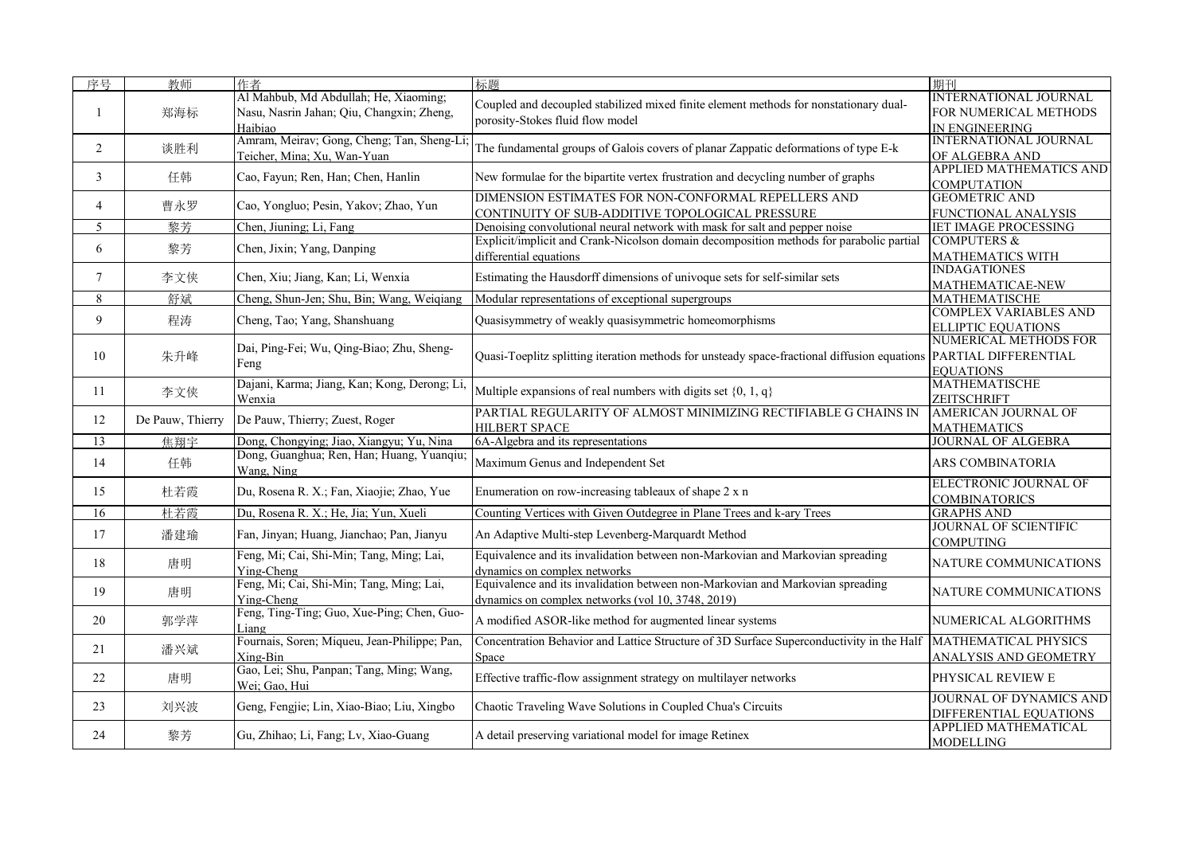| 序号             | 教师               | 作者                                                                                            | 标题                                                                                                                                  | 期刊                                                                             |
|----------------|------------------|-----------------------------------------------------------------------------------------------|-------------------------------------------------------------------------------------------------------------------------------------|--------------------------------------------------------------------------------|
|                | 郑海标              | Al Mahbub, Md Abdullah; He, Xiaoming;<br>Nasu, Nasrin Jahan; Qiu, Changxin; Zheng,<br>Haibiao | Coupled and decoupled stabilized mixed finite element methods for nonstationary dual-<br>porosity-Stokes fluid flow model           | <b>INTERNATIONAL JOURNAL</b><br>FOR NUMERICAL METHODS<br><b>IN ENGINEERING</b> |
| $\overline{2}$ | 谈胜利              | Amram, Meirav; Gong, Cheng; Tan, Sheng-Li<br>Teicher, Mina; Xu, Wan-Yuan                      | The fundamental groups of Galois covers of planar Zappatic deformations of type E-k                                                 | INTERNATIONAL JOURNAL<br>OF ALGEBRA AND                                        |
| 3              | 任韩               | Cao, Fayun; Ren, Han; Chen, Hanlin                                                            | New formulae for the bipartite vertex frustration and decycling number of graphs                                                    | <b>APPLIED MATHEMATICS AND</b><br><b>COMPUTATION</b>                           |
| $\overline{4}$ | 曹永罗              | Cao, Yongluo; Pesin, Yakov; Zhao, Yun                                                         | DIMENSION ESTIMATES FOR NON-CONFORMAL REPELLERS AND<br>CONTINUITY OF SUB-ADDITIVE TOPOLOGICAL PRESSURE                              | <b>GEOMETRIC AND</b><br>FUNCTIONAL ANALYSIS                                    |
| 5              | 黎芳               | Chen, Jiuning; Li, Fang                                                                       | Denoising convolutional neural network with mask for salt and pepper noise                                                          | <b>IET IMAGE PROCESSING</b>                                                    |
| 6              | 黎芳               | Chen, Jixin; Yang, Danping                                                                    | Explicit/implicit and Crank-Nicolson domain decomposition methods for parabolic partial<br>differential equations                   | <b>COMPUTERS &amp;</b><br><b>MATHEMATICS WITH</b>                              |
| $\tau$         | 李文侠              | Chen, Xiu; Jiang, Kan; Li, Wenxia                                                             | Estimating the Hausdorff dimensions of univoque sets for self-similar sets                                                          | <b>INDAGATIONES</b><br>MATHEMATICAE-NEW                                        |
| 8              | 舒斌               | Cheng, Shun-Jen; Shu, Bin; Wang, Weiqiang                                                     | Modular representations of exceptional supergroups                                                                                  | <b>MATHEMATISCHE</b>                                                           |
| 9              | 程涛               | Cheng, Tao; Yang, Shanshuang                                                                  | Quasisymmetry of weakly quasisymmetric homeomorphisms                                                                               | <b>COMPLEX VARIABLES AND</b><br><b>ELLIPTIC EQUATIONS</b>                      |
| 10             | 朱升峰              | Dai, Ping-Fei; Wu, Qing-Biao; Zhu, Sheng-<br>Feng                                             | Quasi-Toeplitz splitting iteration methods for unsteady space-fractional diffusion equations PARTIAL DIFFERENTIAL                   | NUMERICAL METHODS FOR<br><b>EOUATIONS</b>                                      |
| 11             | 李文侠              | Dajani, Karma; Jiang, Kan; Kong, Derong; Li,<br>Wenxia                                        | Multiple expansions of real numbers with digits set $\{0, 1, q\}$                                                                   | <b>MATHEMATISCHE</b><br>ZEITSCHRIFT                                            |
| 12             | De Pauw, Thierry | De Pauw, Thierry; Zuest, Roger                                                                | PARTIAL REGULARITY OF ALMOST MINIMIZING RECTIFIABLE G CHAINS IN<br><b>HILBERT SPACE</b>                                             | <b>AMERICAN JOURNAL OF</b><br><b>MATHEMATICS</b>                               |
| 13             | 焦翔宇              | Dong, Chongying; Jiao, Xiangyu; Yu, Nina                                                      | 6A-Algebra and its representations                                                                                                  | <b>JOURNAL OF ALGEBRA</b>                                                      |
| 14             | 任韩               | Dong, Guanghua; Ren, Han; Huang, Yuanqiu;<br>Wang, Ning                                       | Maximum Genus and Independent Set                                                                                                   | ARS COMBINATORIA                                                               |
| 15             | 杜若霞              | Du, Rosena R. X.; Fan, Xiaojie; Zhao, Yue                                                     | Enumeration on row-increasing tableaux of shape 2 x n                                                                               | <b>ELECTRONIC JOURNAL OF</b><br><b>COMBINATORICS</b>                           |
| 16             | 杜若霞              | Du, Rosena R. X.; He, Jia; Yun, Xueli                                                         | Counting Vertices with Given Outdegree in Plane Trees and k-ary Trees                                                               | <b>GRAPHS AND</b>                                                              |
| 17             | 潘建瑜              | Fan, Jinyan; Huang, Jianchao; Pan, Jianyu                                                     | An Adaptive Multi-step Levenberg-Marquardt Method                                                                                   | <b>JOURNAL OF SCIENTIFIC</b><br><b>COMPUTING</b>                               |
| 18             | 唐明               | Feng, Mi; Cai, Shi-Min; Tang, Ming; Lai,<br>Ying-Cheng                                        | Equivalence and its invalidation between non-Markovian and Markovian spreading<br>dynamics on complex networks                      | NATURE COMMUNICATIONS                                                          |
| 19             | 唐明               | Feng, Mi; Cai, Shi-Min; Tang, Ming; Lai,<br>Ying-Cheng                                        | Equivalence and its invalidation between non-Markovian and Markovian spreading<br>dynamics on complex networks (vol 10, 3748, 2019) | NATURE COMMUNICATIONS                                                          |
| 20             | 郭学萍              | Feng, Ting-Ting; Guo, Xue-Ping; Chen, Guo-<br>Liang                                           | A modified ASOR-like method for augmented linear systems                                                                            | NUMERICAL ALGORITHMS                                                           |
| 21             | 潘兴斌              | Fournais, Soren; Miqueu, Jean-Philippe; Pan,<br>Xing-Bin                                      | Concentration Behavior and Lattice Structure of 3D Surface Superconductivity in the Half<br>Space                                   | <b>MATHEMATICAL PHYSICS</b><br><b>ANALYSIS AND GEOMETRY</b>                    |
| 22             | 唐明               | Gao, Lei; Shu, Panpan; Tang, Ming; Wang,<br>Wei; Gao, Hui                                     | Effective traffic-flow assignment strategy on multilayer networks                                                                   | PHYSICAL REVIEW E                                                              |
| 23             | 刘兴波              | Geng, Fengjie; Lin, Xiao-Biao; Liu, Xingbo                                                    | Chaotic Traveling Wave Solutions in Coupled Chua's Circuits                                                                         | JOURNAL OF DYNAMICS AND<br><b>DIFFERENTIAL EQUATIONS</b>                       |
| 24             | 黎芳               | Gu, Zhihao; Li, Fang; Lv, Xiao-Guang                                                          | A detail preserving variational model for image Retinex                                                                             | APPLIED MATHEMATICAL<br><b>MODELLING</b>                                       |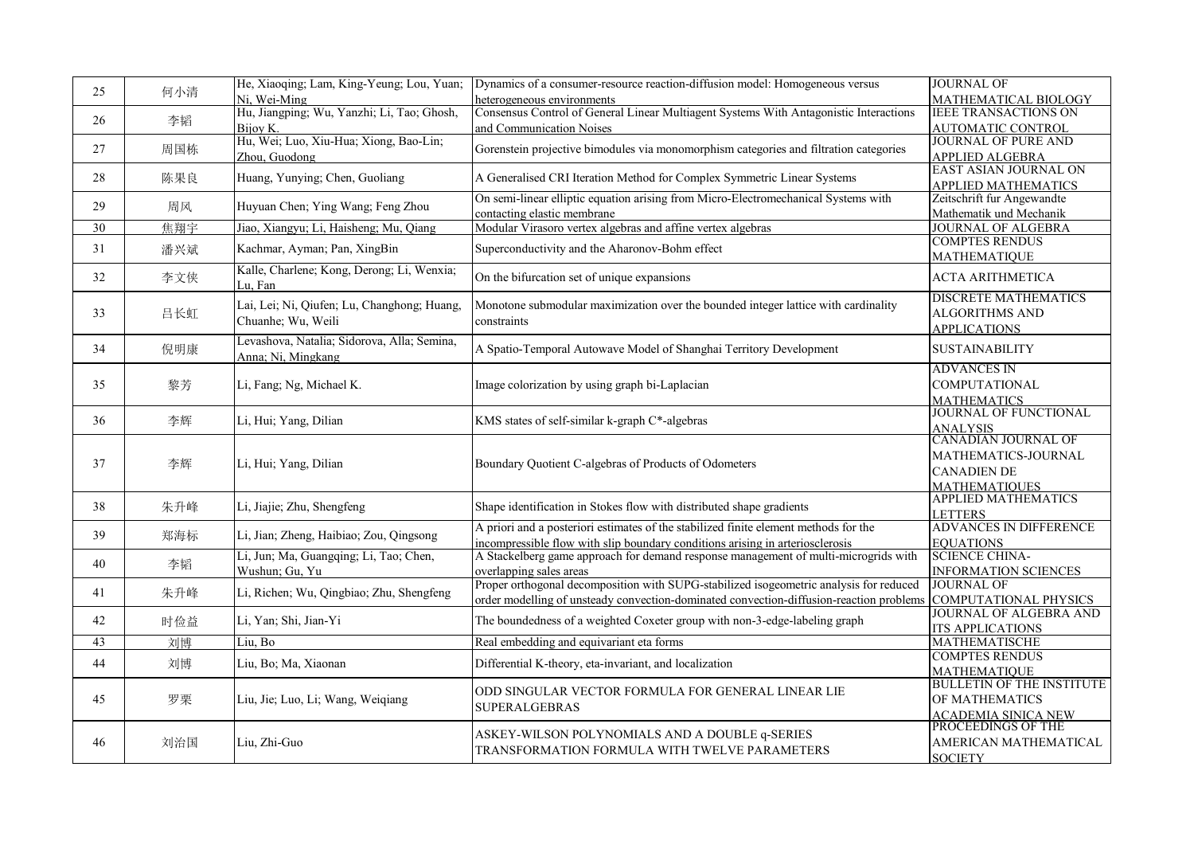| 25              | 何小清 | He, Xiaoqing; Lam, King-Yeung; Lou, Yuan;   | Dynamics of a consumer-resource reaction-diffusion model: Homogeneous versus            | <b>JOURNAL OF</b>                                  |
|-----------------|-----|---------------------------------------------|-----------------------------------------------------------------------------------------|----------------------------------------------------|
|                 |     | Ni, Wei-Ming                                | heterogeneous environments                                                              | MATHEMATICAL BIOLOGY                               |
|                 |     | Hu, Jiangping; Wu, Yanzhi; Li, Tao; Ghosh,  | Consensus Control of General Linear Multiagent Systems With Antagonistic Interactions   | <b>IEEE TRANSACTIONS ON</b>                        |
| 26              | 李韬  | Bijoy K.                                    | and Communication Noises                                                                | <b>AUTOMATIC CONTROL</b>                           |
|                 |     | Hu, Wei; Luo, Xiu-Hua; Xiong, Bao-Lin;      |                                                                                         | <b>JOURNAL OF PURE AND</b>                         |
| 27              | 周国栋 | Zhou, Guodong                               | Gorenstein projective bimodules via monomorphism categories and filtration categories   | APPLIED ALGEBRA                                    |
|                 |     |                                             |                                                                                         | <b>EAST ASIAN JOURNAL ON</b>                       |
| 28              | 陈果良 | Huang, Yunying; Chen, Guoliang              | A Generalised CRI Iteration Method for Complex Symmetric Linear Systems                 | <b>APPLIED MATHEMATICS</b>                         |
|                 |     |                                             | On semi-linear elliptic equation arising from Micro-Electromechanical Systems with      | Zeitschrift fur Angewandte                         |
| 29              | 周风  | Huyuan Chen; Ying Wang; Feng Zhou           | contacting elastic membrane                                                             | Mathematik und Mechanik                            |
| $\overline{30}$ | 焦翔宇 | Jiao, Xiangyu; Li, Haisheng; Mu, Qiang      | Modular Virasoro vertex algebras and affine vertex algebras                             | <b>JOURNAL OF ALGEBRA</b>                          |
|                 |     |                                             |                                                                                         | <b>COMPTES RENDUS</b>                              |
| 31              | 潘兴斌 | Kachmar, Ayman; Pan, XingBin                | Superconductivity and the Aharonov-Bohm effect                                          | <b>MATHEMATIQUE</b>                                |
|                 |     | Kalle, Charlene; Kong, Derong; Li, Wenxia;  |                                                                                         |                                                    |
| 32              | 李文侠 | Lu, Fan                                     | On the bifurcation set of unique expansions                                             | <b>ACTA ARITHMETICA</b>                            |
|                 |     |                                             |                                                                                         | <b>DISCRETE MATHEMATICS</b>                        |
| 33              | 吕长虹 | Lai, Lei; Ni, Qiufen; Lu, Changhong; Huang, | Monotone submodular maximization over the bounded integer lattice with cardinality      | <b>ALGORITHMS AND</b>                              |
|                 |     | Chuanhe; Wu, Weili                          | constraints                                                                             | <b>APPLICATIONS</b>                                |
|                 |     | Levashova, Natalia; Sidorova, Alla; Semina, |                                                                                         |                                                    |
| 34              | 倪明康 | Anna; Ni, Mingkang                          | A Spatio-Temporal Autowave Model of Shanghai Territory Development                      | <b>SUSTAINABILITY</b>                              |
|                 |     |                                             |                                                                                         | <b>ADVANCES IN</b>                                 |
| 35              | 黎芳  | Li, Fang; Ng, Michael K.                    | Image colorization by using graph bi-Laplacian                                          | <b>COMPUTATIONAL</b>                               |
|                 |     |                                             |                                                                                         |                                                    |
|                 |     |                                             |                                                                                         | <b>MATHEMATICS</b><br><b>JOURNAL OF FUNCTIONAL</b> |
| 36              | 李辉  | Li, Hui; Yang, Dilian                       | KMS states of self-similar k-graph C*-algebras                                          |                                                    |
|                 |     |                                             |                                                                                         | <u>ANALYSIS</u><br>CANADIAN JOURNAL OF             |
|                 |     |                                             |                                                                                         | MATHEMATICS-JOURNAL                                |
| 37              | 李辉  | Li, Hui; Yang, Dilian                       | Boundary Quotient C-algebras of Products of Odometers                                   | <b>CANADIEN DE</b>                                 |
|                 |     |                                             |                                                                                         |                                                    |
|                 |     |                                             |                                                                                         | <b>MATHEMATIOUES</b><br><b>APPLIED MATHEMATICS</b> |
| 38              | 朱升峰 | Li, Jiajie; Zhu, Shengfeng                  | Shape identification in Stokes flow with distributed shape gradients                    |                                                    |
|                 |     |                                             | A priori and a posteriori estimates of the stabilized finite element methods for the    | <b>LETTERS</b><br>ADVANCES IN DIFFERENCE           |
| 39              | 郑海标 | Li, Jian; Zheng, Haibiao; Zou, Qingsong     |                                                                                         |                                                    |
|                 |     |                                             | incompressible flow with slip boundary conditions arising in arteriosclerosis           | <b>EQUATIONS</b>                                   |
| 40              | 李韬  | Li, Jun; Ma, Guangqing; Li, Tao; Chen,      | A Stackelberg game approach for demand response management of multi-microgrids with     | <b>SCIENCE CHINA-</b>                              |
|                 |     | Wushun; Gu, Yu                              | overlapping sales areas                                                                 | <b>INFORMATION SCIENCES</b>                        |
| 41              | 朱升峰 | Li, Richen; Wu, Qingbiao; Zhu, Shengfeng    | Proper orthogonal decomposition with SUPG-stabilized isogeometric analysis for reduced  | <b>JOURNAL OF</b>                                  |
|                 |     |                                             | order modelling of unsteady convection-dominated convection-diffusion-reaction problems | COMPUTATIONAL PHYSICS                              |
| 42              | 时俭益 | Li, Yan; Shi, Jian-Yi                       | The boundedness of a weighted Coxeter group with non-3-edge-labeling graph              | <b>JOURNAL OF ALGEBRA AND</b>                      |
|                 |     |                                             |                                                                                         | <b>ITS APPLICATIONS</b>                            |
| 43              | 刘博  | Liu, Bo                                     | Real embedding and equivariant eta forms                                                | <b>MATHEMATISCHE</b>                               |
| 44              | 刘博  | Liu, Bo; Ma, Xiaonan                        | Differential K-theory, eta-invariant, and localization                                  | <b>COMPTES RENDUS</b>                              |
|                 |     |                                             |                                                                                         | <b>MATHEMATIQUE</b>                                |
|                 |     |                                             | ODD SINGULAR VECTOR FORMULA FOR GENERAL LINEAR LIE                                      | <b>BULLETIN OF THE INSTITUTE</b>                   |
| 45              | 罗栗  | Liu, Jie; Luo, Li; Wang, Weiqiang           | <b>SUPERALGEBRAS</b>                                                                    | OF MATHEMATICS                                     |
|                 |     |                                             |                                                                                         | <b>ACADEMIA SINICA NEW</b><br>PROCEEDINGS OF THE   |
|                 |     |                                             | ASKEY-WILSON POLYNOMIALS AND A DOUBLE q-SERIES                                          |                                                    |
| 46              | 刘治国 | Liu, Zhi-Guo                                | TRANSFORMATION FORMULA WITH TWELVE PARAMETERS                                           | AMERICAN MATHEMATICAL                              |
|                 |     |                                             |                                                                                         | <b>SOCIETY</b>                                     |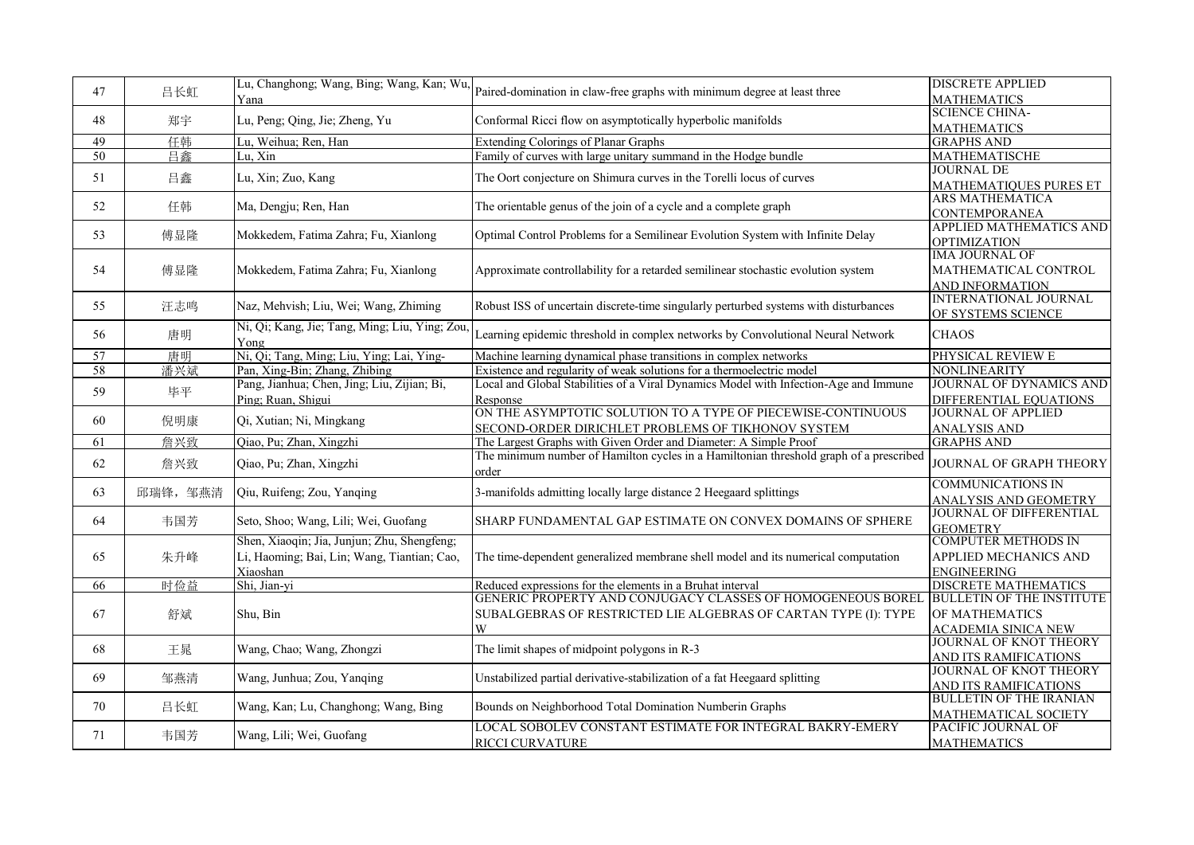| 47              | 吕长虹      | Lu, Changhong; Wang, Bing; Wang, Kan; Wu,                                                              | Paired-domination in claw-free graphs with minimum degree at least three                                                            | <b>DISCRETE APPLIED</b>                                                          |
|-----------------|----------|--------------------------------------------------------------------------------------------------------|-------------------------------------------------------------------------------------------------------------------------------------|----------------------------------------------------------------------------------|
|                 |          | Yana                                                                                                   |                                                                                                                                     | <b>MATHEMATICS</b>                                                               |
| 48              | 郑宇       | Lu, Peng; Qing, Jie; Zheng, Yu                                                                         | Conformal Ricci flow on asymptotically hyperbolic manifolds                                                                         | SCIENCE CHINA-                                                                   |
|                 |          |                                                                                                        |                                                                                                                                     | <b>MATHEMATICS</b>                                                               |
| 49              | 任韩       | Lu, Weihua; Ren, Han                                                                                   | <b>Extending Colorings of Planar Graphs</b>                                                                                         | <b>GRAPHS AND</b>                                                                |
| 50              | 日鑫       | Lu, Xin                                                                                                | Family of curves with large unitary summand in the Hodge bundle                                                                     | <b>MATHEMATISCHE</b>                                                             |
| 51              | 吕鑫       | Lu, Xin; Zuo, Kang                                                                                     | The Oort conjecture on Shimura curves in the Torelli locus of curves                                                                | <b>JOURNAL DE</b><br>MATHEMATIQUES PURES ET                                      |
| 52              | 任韩       | Ma, Dengju; Ren, Han                                                                                   | The orientable genus of the join of a cycle and a complete graph                                                                    | <b>ARS MATHEMATICA</b><br>CONTEMPORANEA                                          |
| 53              | 傅显隆      | Mokkedem, Fatima Zahra; Fu, Xianlong                                                                   | Optimal Control Problems for a Semilinear Evolution System with Infinite Delay                                                      | <b>APPLIED MATHEMATICS AND</b><br><b>OPTIMIZATION</b>                            |
| 54              | 傅显隆      | Mokkedem, Fatima Zahra; Fu, Xianlong                                                                   | Approximate controllability for a retarded semilinear stochastic evolution system                                                   | IMA JOURNAL OF<br>MATHEMATICAL CONTROL<br><b>AND INFORMATION</b>                 |
| 55              | 汪志鸣      | Naz, Mehvish; Liu, Wei; Wang, Zhiming                                                                  | Robust ISS of uncertain discrete-time singularly perturbed systems with disturbances                                                | <b>INTERNATIONAL JOURNAL</b><br>OF SYSTEMS SCIENCE                               |
| 56              | 唐明       | Ni, Qi; Kang, Jie; Tang, Ming; Liu, Ying; Zou,<br>Yong                                                 | Learning epidemic threshold in complex networks by Convolutional Neural Network                                                     | <b>CHAOS</b>                                                                     |
| 57              | 唐明       | Ni, Qi; Tang, Ming; Liu, Ying; Lai, Ying-                                                              | Machine learning dynamical phase transitions in complex networks                                                                    | PHYSICAL REVIEW E                                                                |
| $\overline{58}$ | 潘兴斌      | Pan, Xing-Bin; Zhang, Zhibing                                                                          | Existence and regularity of weak solutions for a thermoelectric model                                                               | NONLINEARITY                                                                     |
| 59              | 毕平       | Pang, Jianhua; Chen, Jing; Liu, Zijian; Bi,<br>Ping; Ruan, Shigui                                      | Local and Global Stabilities of a Viral Dynamics Model with Infection-Age and Immune<br>Response                                    | <b>JOURNAL OF DYNAMICS AND</b><br>DIFFERENTIAL EQUATIONS                         |
| 60              | 倪明康      | Qi, Xutian; Ni, Mingkang                                                                               | ON THE ASYMPTOTIC SOLUTION TO A TYPE OF PIECEWISE-CONTINUOUS<br>SECOND-ORDER DIRICHLET PROBLEMS OF TIKHONOV SYSTEM                  | <b>JOURNAL OF APPLIED</b><br><b>ANALYSIS AND</b>                                 |
| 61              | 詹兴致      | Qiao, Pu; Zhan, Xingzhi                                                                                | The Largest Graphs with Given Order and Diameter: A Simple Proof                                                                    | <b>GRAPHS AND</b>                                                                |
| 62              | 詹兴致      | Qiao, Pu; Zhan, Xingzhi                                                                                | The minimum number of Hamilton cycles in a Hamiltonian threshold graph of a prescribed<br>order                                     | JOURNAL OF GRAPH THEORY                                                          |
| 63              | 邱瑞锋, 邹燕清 | Qiu, Ruifeng; Zou, Yanqing                                                                             | 3-manifolds admitting locally large distance 2 Heegaard splittings                                                                  | <b>COMMUNICATIONS IN</b><br>ANALYSIS AND GEOMETRY                                |
| 64              | 韦国芳      | Seto, Shoo; Wang, Lili; Wei, Guofang                                                                   | SHARP FUNDAMENTAL GAP ESTIMATE ON CONVEX DOMAINS OF SPHERE                                                                          | JOURNAL OF DIFFERENTIAL<br><b>GEOMETRY</b>                                       |
| 65              | 朱升峰      | Shen, Xiaoqin; Jia, Junjun; Zhu, Shengfeng;<br>Li, Haoming; Bai, Lin; Wang, Tiantian; Cao,<br>Xiaoshan | The time-dependent generalized membrane shell model and its numerical computation                                                   | <b>COMPUTER METHODS IN</b><br><b>APPLIED MECHANICS AND</b><br><b>ENGINEERING</b> |
| 66              | 时俭益      | Shi, Jian-yi                                                                                           | Reduced expressions for the elements in a Bruhat interval                                                                           | <b>DISCRETE MATHEMATICS</b>                                                      |
| 67              | 舒斌       | Shu, Bin                                                                                               | GENERIC PROPERTY AND CONJUGACY CLASSES OF HOMOGENEOUS BOREL<br>SUBALGEBRAS OF RESTRICTED LIE ALGEBRAS OF CARTAN TYPE (I): TYPE<br>W | <b>BULLETIN OF THE INSTITUTE</b><br>OF MATHEMATICS<br><b>ACADEMIA SINICA NEW</b> |
| 68              | 王晁       | Wang, Chao; Wang, Zhongzi                                                                              | The limit shapes of midpoint polygons in R-3                                                                                        | <b>JOURNAL OF KNOT THEORY</b><br>AND ITS RAMIFICATIONS                           |
| 69              | 邹燕清      | Wang, Junhua; Zou, Yanqing                                                                             | Unstabilized partial derivative-stabilization of a fat Heegaard splitting                                                           | JOURNAL OF KNOT THEORY<br>AND ITS RAMIFICATIONS                                  |
| 70              | 吕长虹      | Wang, Kan; Lu, Changhong; Wang, Bing                                                                   | Bounds on Neighborhood Total Domination Numberin Graphs                                                                             | <b>BULLETIN OF THE IRANIAN</b><br>MATHEMATICAL SOCIETY                           |
| 71              | 韦国芳      | Wang, Lili; Wei, Guofang                                                                               | LOCAL SOBOLEV CONSTANT ESTIMATE FOR INTEGRAL BAKRY-EMERY<br><b>RICCI CURVATURE</b>                                                  | PACIFIC JOURNAL OF<br><b>MATHEMATICS</b>                                         |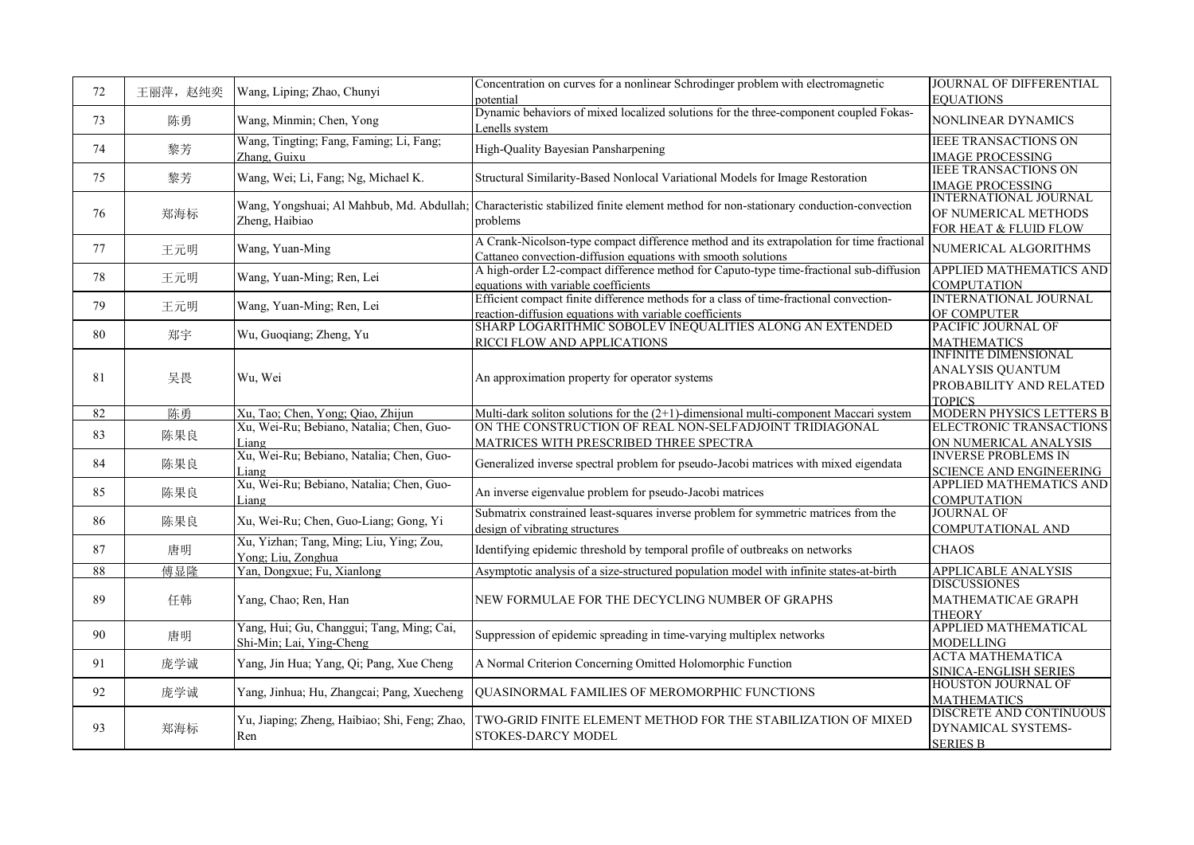| 72 | 王丽萍, 赵纯奕 | Wang, Liping; Zhao, Chunyi                        | Concentration on curves for a nonlinear Schrodinger problem with electromagnetic                        | JOURNAL OF DIFFERENTIAL                                   |
|----|----------|---------------------------------------------------|---------------------------------------------------------------------------------------------------------|-----------------------------------------------------------|
|    |          |                                                   | potential                                                                                               | <b>EOUATIONS</b>                                          |
| 73 | 陈勇       | Wang, Minmin; Chen, Yong                          | Dynamic behaviors of mixed localized solutions for the three-component coupled Fokas-<br>Lenells system | <b>NONLINEAR DYNAMICS</b>                                 |
| 74 |          | Wang, Tingting; Fang, Faming; Li, Fang;           |                                                                                                         | <b>IEEE TRANSACTIONS ON</b>                               |
|    | 黎芳       | Zhang, Guixu                                      | High-Quality Bayesian Pansharpening                                                                     | <b>IMAGE PROCESSING</b>                                   |
| 75 | 黎芳       | Wang, Wei; Li, Fang; Ng, Michael K.               | Structural Similarity-Based Nonlocal Variational Models for Image Restoration                           | <b>IEEE TRANSACTIONS ON</b><br><b>IMAGE PROCESSING</b>    |
|    |          |                                                   |                                                                                                         | <b>INTERNATIONAL JOURNAL</b>                              |
| 76 | 郑海标      | Wang, Yongshuai; Al Mahbub, Md. Abdullah;         | Characteristic stabilized finite element method for non-stationary conduction-convection                | OF NUMERICAL METHODS                                      |
|    |          | Zheng, Haibiao                                    | problems                                                                                                | FOR HEAT & FLUID FLOW                                     |
| 77 |          | Wang, Yuan-Ming                                   | A Crank-Nicolson-type compact difference method and its extrapolation for time fractional               | NUMERICAL ALGORITHMS                                      |
|    | 王元明      |                                                   | Cattaneo convection-diffusion equations with smooth solutions                                           |                                                           |
| 78 | 王元明      | Wang, Yuan-Ming; Ren, Lei                         | A high-order L2-compact difference method for Caputo-type time-fractional sub-diffusion                 | <b>APPLIED MATHEMATICS AND</b>                            |
|    |          |                                                   | equations with variable coefficients                                                                    | <b>COMPUTATION</b>                                        |
| 79 | 王元明      | Wang, Yuan-Ming; Ren, Lei                         | Efficient compact finite difference methods for a class of time-fractional convection-                  | <b>INTERNATIONAL JOURNAL</b>                              |
|    |          |                                                   | reaction-diffusion equations with variable coefficients                                                 | OF COMPUTER                                               |
| 80 | 郑宇       | Wu, Guoqiang; Zheng, Yu                           | SHARP LOGARITHMIC SOBOLEV INEQUALITIES ALONG AN EXTENDED                                                | PACIFIC JOURNAL OF                                        |
|    |          |                                                   | RICCI FLOW AND APPLICATIONS                                                                             | <b>MATHEMATICS</b>                                        |
|    |          |                                                   |                                                                                                         | <b>INFINITE DIMENSIONAL</b>                               |
| 81 | 吴畏       | Wu, Wei                                           | An approximation property for operator systems                                                          | <b>ANALYSIS QUANTUM</b>                                   |
|    |          |                                                   |                                                                                                         | PROBABILITY AND RELATED                                   |
|    |          |                                                   |                                                                                                         | <b>TOPICS</b>                                             |
| 82 | 陈勇       | Xu, Tao; Chen, Yong; Qiao, Zhijun                 | Multi-dark soliton solutions for the $(2+1)$ -dimensional multi-component Maccari system                | MODERN PHYSICS LETTERS B                                  |
| 83 | 陈果良      | Xu, Wei-Ru; Bebiano, Natalia; Chen, Guo-          | ON THE CONSTRUCTION OF REAL NON-SELFADJOINT TRIDIAGONAL                                                 | ELECTRONIC TRANSACTIONS                                   |
|    |          | Liang<br>Xu, Wei-Ru; Bebiano, Natalia; Chen, Guo- | MATRICES WITH PRESCRIBED THREE SPECTRA                                                                  | ON NUMERICAL ANALYSIS                                     |
| 84 | 陈果良      |                                                   | Generalized inverse spectral problem for pseudo-Jacobi matrices with mixed eigendata                    | <b>INVERSE PROBLEMS IN</b>                                |
|    |          | Liang<br>Xu, Wei-Ru; Bebiano, Natalia; Chen, Guo- |                                                                                                         | <b>SCIENCE AND ENGINEERING</b><br>APPLIED MATHEMATICS AND |
| 85 | 陈果良      |                                                   | An inverse eigenvalue problem for pseudo-Jacobi matrices                                                |                                                           |
|    |          | Liang                                             | Submatrix constrained least-squares inverse problem for symmetric matrices from the                     | <b>COMPUTATION</b><br><b>JOURNAL OF</b>                   |
| 86 | 陈果良      | Xu, Wei-Ru; Chen, Guo-Liang; Gong, Yi             | design of vibrating structures                                                                          | COMPUTATIONAL AND                                         |
|    |          | Xu, Yizhan; Tang, Ming; Liu, Ying; Zou,           |                                                                                                         |                                                           |
| 87 | 唐明       | Yong; Liu, Zonghua                                | Identifying epidemic threshold by temporal profile of outbreaks on networks                             | <b>CHAOS</b>                                              |
| 88 | 傅显隆      | Yan, Dongxue; Fu, Xianlong                        | Asymptotic analysis of a size-structured population model with infinite states-at-birth                 | <b>APPLICABLE ANALYSIS</b>                                |
|    |          |                                                   |                                                                                                         | <b>DISCUSSIONES</b>                                       |
| 89 | 任韩       | Yang, Chao; Ren, Han                              | NEW FORMULAE FOR THE DECYCLING NUMBER OF GRAPHS                                                         | MATHEMATICAE GRAPH                                        |
|    |          |                                                   |                                                                                                         | <b>THEORY</b>                                             |
| 90 | 唐明       | Yang, Hui; Gu, Changgui; Tang, Ming; Cai,         | Suppression of epidemic spreading in time-varying multiplex networks                                    | APPLIED MATHEMATICAL                                      |
|    |          | Shi-Min; Lai, Ying-Cheng                          |                                                                                                         | <b>MODELLING</b>                                          |
| 91 | 庞学诚      | Yang, Jin Hua; Yang, Qi; Pang, Xue Cheng          | A Normal Criterion Concerning Omitted Holomorphic Function                                              | <b>ACTA MATHEMATICA</b>                                   |
|    |          |                                                   |                                                                                                         | SINICA-ENGLISH SERIES                                     |
| 92 | 庞学诚      | Yang, Jinhua; Hu, Zhangcai; Pang, Xuecheng        | QUASINORMAL FAMILIES OF MEROMORPHIC FUNCTIONS                                                           | <b>HOUSTON JOURNAL OF</b>                                 |
|    |          |                                                   |                                                                                                         | <b>MATHEMATICS</b>                                        |
|    |          | Yu, Jiaping; Zheng, Haibiao; Shi, Feng; Zhao,     | IWO-GRID FINITE ELEMENT METHOD FOR THE STABILIZATION OF MIXED                                           | <b>DISCRETE AND CONTINUOUS</b>                            |
| 93 | 郑海标      | Ren                                               | <b>STOKES-DARCY MODEL</b>                                                                               | DYNAMICAL SYSTEMS-                                        |
|    |          |                                                   |                                                                                                         | <b>SERIES B</b>                                           |